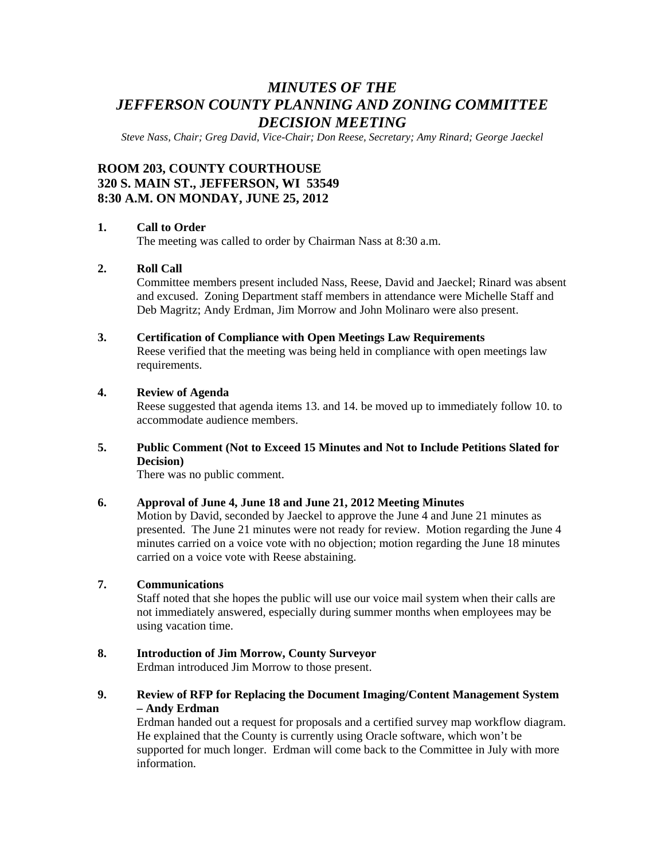# *MINUTES OF THE JEFFERSON COUNTY PLANNING AND ZONING COMMITTEE DECISION MEETING*

*Steve Nass, Chair; Greg David, Vice-Chair; Don Reese, Secretary; Amy Rinard; George Jaeckel* 

# **ROOM 203, COUNTY COURTHOUSE 320 S. MAIN ST., JEFFERSON, WI 53549 8:30 A.M. ON MONDAY, JUNE 25, 2012**

## **1. Call to Order**

The meeting was called to order by Chairman Nass at 8:30 a.m.

# **2. Roll Call**

Committee members present included Nass, Reese, David and Jaeckel; Rinard was absent and excused. Zoning Department staff members in attendance were Michelle Staff and Deb Magritz; Andy Erdman, Jim Morrow and John Molinaro were also present.

#### **3. Certification of Compliance with Open Meetings Law Requirements**

Reese verified that the meeting was being held in compliance with open meetings law requirements.

# **4. Review of Agenda**

Reese suggested that agenda items 13. and 14. be moved up to immediately follow 10. to accommodate audience members.

# **5. Public Comment (Not to Exceed 15 Minutes and Not to Include Petitions Slated for Decision)**

There was no public comment.

### **6. Approval of June 4, June 18 and June 21, 2012 Meeting Minutes**

Motion by David, seconded by Jaeckel to approve the June 4 and June 21 minutes as presented. The June 21 minutes were not ready for review. Motion regarding the June 4 minutes carried on a voice vote with no objection; motion regarding the June 18 minutes carried on a voice vote with Reese abstaining.

### **7. Communications**

Staff noted that she hopes the public will use our voice mail system when their calls are not immediately answered, especially during summer months when employees may be using vacation time.

### **8. Introduction of Jim Morrow, County Surveyor**

Erdman introduced Jim Morrow to those present.

# **9. Review of RFP for Replacing the Document Imaging/Content Management System – Andy Erdman**

Erdman handed out a request for proposals and a certified survey map workflow diagram. He explained that the County is currently using Oracle software, which won't be supported for much longer. Erdman will come back to the Committee in July with more information.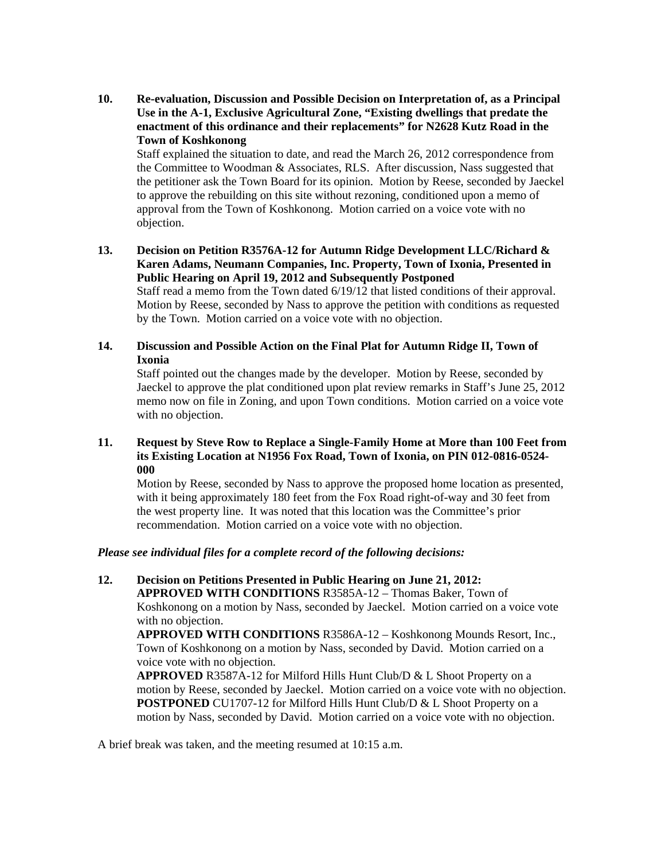**10. Re-evaluation, Discussion and Possible Decision on Interpretation of, as a Principal Use in the A-1, Exclusive Agricultural Zone, "Existing dwellings that predate the enactment of this ordinance and their replacements" for N2628 Kutz Road in the Town of Koshkonong** 

Staff explained the situation to date, and read the March 26, 2012 correspondence from the Committee to Woodman & Associates, RLS. After discussion, Nass suggested that the petitioner ask the Town Board for its opinion. Motion by Reese, seconded by Jaeckel to approve the rebuilding on this site without rezoning, conditioned upon a memo of approval from the Town of Koshkonong. Motion carried on a voice vote with no objection.

**13. Decision on Petition R3576A-12 for Autumn Ridge Development LLC/Richard & Karen Adams, Neumann Companies, Inc. Property, Town of Ixonia, Presented in Public Hearing on April 19, 2012 and Subsequently Postponed** 

Staff read a memo from the Town dated 6/19/12 that listed conditions of their approval. Motion by Reese, seconded by Nass to approve the petition with conditions as requested by the Town. Motion carried on a voice vote with no objection.

**14. Discussion and Possible Action on the Final Plat for Autumn Ridge II, Town of Ixonia** 

 Staff pointed out the changes made by the developer. Motion by Reese, seconded by Jaeckel to approve the plat conditioned upon plat review remarks in Staff's June 25, 2012 memo now on file in Zoning, and upon Town conditions. Motion carried on a voice vote with no objection.

## **11. Request by Steve Row to Replace a Single-Family Home at More than 100 Feet from its Existing Location at N1956 Fox Road, Town of Ixonia, on PIN 012-0816-0524- 000**

Motion by Reese, seconded by Nass to approve the proposed home location as presented, with it being approximately 180 feet from the Fox Road right-of-way and 30 feet from the west property line. It was noted that this location was the Committee's prior recommendation. Motion carried on a voice vote with no objection.

#### *Please see individual files for a complete record of the following decisions:*

**12. Decision on Petitions Presented in Public Hearing on June 21, 2012:**

**APPROVED WITH CONDITIONS** R3585A-12 – Thomas Baker, Town of Koshkonong on a motion by Nass, seconded by Jaeckel. Motion carried on a voice vote with no objection.

**APPROVED WITH CONDITIONS** R3586A-12 – Koshkonong Mounds Resort, Inc., Town of Koshkonong on a motion by Nass, seconded by David. Motion carried on a voice vote with no objection.

**APPROVED** R3587A-12 for Milford Hills Hunt Club/D & L Shoot Property on a motion by Reese, seconded by Jaeckel. Motion carried on a voice vote with no objection. **POSTPONED** CU1707-12 for Milford Hills Hunt Club/D & L Shoot Property on a motion by Nass, seconded by David. Motion carried on a voice vote with no objection.

A brief break was taken, and the meeting resumed at 10:15 a.m.